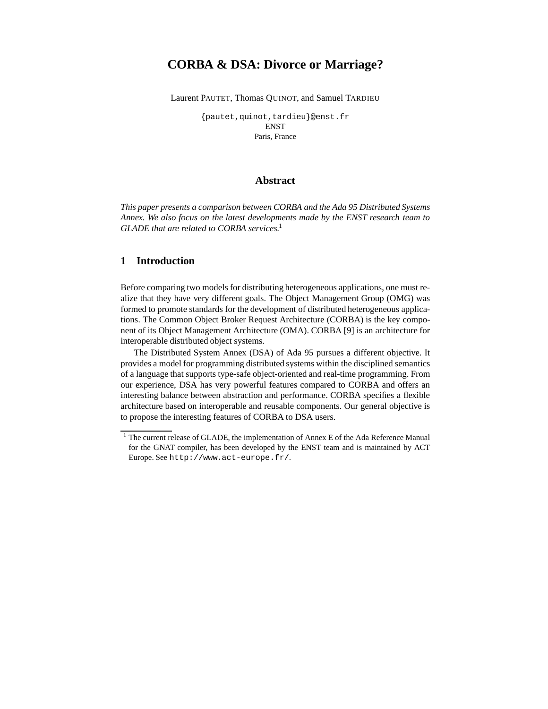# **CORBA & DSA: Divorce or Marriage?**

Laurent PAUTET, Thomas QUINOT, and Samuel TARDIEU

{pautet,quinot,tardieu}@enst.fr ENST Paris, France

## **Abstract**

*This paper presents a comparison between CORBA and the Ada 95 Distributed Systems Annex. We also focus on the latest developments made by the ENST research team to GLADE that are related to CORBA services.*<sup>1</sup>

## **1 Introduction**

Before comparing two models for distributing heterogeneous applications, one must realize that they have very different goals. The Object Management Group (OMG) was formed to promote standards for the development of distributed heterogeneous applications. The Common Object Broker Request Architecture (CORBA) is the key component of its Object Management Architecture (OMA). CORBA [9] is an architecture for interoperable distributed object systems.

The Distributed System Annex (DSA) of Ada 95 pursues a different objective. It provides a model for programming distributed systems within the disciplined semantics of a language that supports type-safe object-oriented and real-time programming. From our experience, DSA has very powerful features compared to CORBA and offers an interesting balance between abstraction and performance. CORBA specifies a flexible architecture based on interoperable and reusable components. Our general objective is to propose the interesting features of CORBA to DSA users.

<sup>&</sup>lt;sup>1</sup> The current release of GLADE, the implementation of Annex E of the Ada Reference Manual for the GNAT compiler, has been developed by the ENST team and is maintained by ACT Europe. See http://www.act-europe.fr/.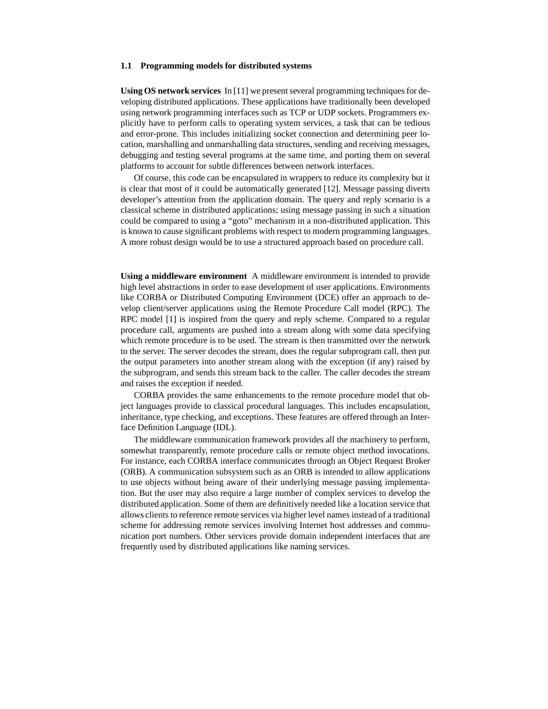#### **1.1 Programming models for distributed systems**

**Using OS network services** In [11] we present several programming techniques for developing distributed applications. These applications have traditionally been developed using network programming interfaces such as TCP or UDP sockets. Programmers explicitly have to perform calls to operating system services, a task that can be tedious and error-prone. This includes initializing socket connection and determining peer location, marshalling and unmarshalling data structures, sending and receiving messages, debugging and testing several programs at the same time, and porting them on several platforms to account for subtle differences between network interfaces.

Of course, this code can be encapsulated in wrappers to reduce its complexity but it is clear that most of it could be automatically generated [12]. Message passing diverts developer's attention from the application domain. The query and reply scenario is a classical scheme in distributed applications; using message passing in such a situation could be compared to using a "goto" mechanism in a non-distributed application. This is known to cause significant problems with respect to modern programming languages. A more robust design would be to use a structured approach based on procedure call.

**Using a middleware environment** A middleware environment is intended to provide high level abstractions in order to ease development of user applications. Environments like CORBA or Distributed Computing Environment (DCE) offer an approach to develop client/server applications using the Remote Procedure Call model (RPC). The RPC model [1] is inspired from the query and reply scheme. Compared to a regular procedure call, arguments are pushed into a stream along with some data specifying which remote procedure is to be used. The stream is then transmitted over the network to the server. The server decodes the stream, does the regular subprogram call, then put the output parameters into another stream along with the exception (if any) raised by the subprogram, and sends this stream back to the caller. The caller decodes the stream and raises the exception if needed.

CORBA provides the same enhancements to the remote procedure model that object languages provide to classical procedural languages. This includes encapsulation, inheritance, type checking, and exceptions. These features are offered through an Interface Definition Language (IDL).

The middleware communication framework provides all the machinery to perform, somewhat transparently, remote procedure calls or remote object method invocations. For instance, each CORBA interface communicates through an Object Request Broker (ORB). A communication subsystem such as an ORB is intended to allow applications to use objects without being aware of their underlying message passing implementation. But the user may also require a large number of complex services to develop the distributed application.Some of them are definitively needed like a location service that allows clients to reference remote services via higher level names instead of a traditional scheme for addressing remote services involving Internet host addresses and communication port numbers. Other services provide domain independent interfaces that are frequently used by distributed applications like naming services.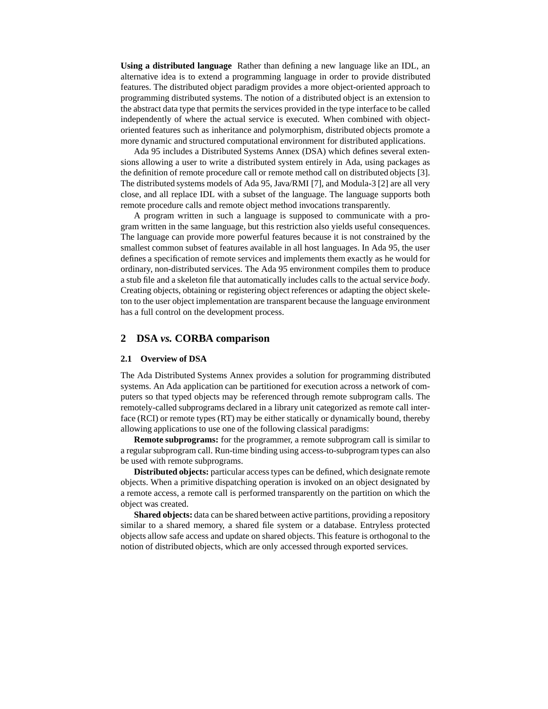**Using a distributed language** Rather than defining a new language like an IDL, an alternative idea is to extend a programming language in order to provide distributed features. The distributed object paradigm provides a more object-oriented approach to programming distributed systems. The notion of a distributed object is an extension to the abstract data type that permits the services provided in the type interface to be called independently of where the actual service is executed. When combined with objectoriented features such as inheritance and polymorphism, distributed objects promote a more dynamic and structured computational environment for distributed applications.

Ada 95 includes a Distributed Systems Annex (DSA) which defines several extensions allowing a user to write a distributed system entirely in Ada, using packages as the definition of remote procedure call or remote method call on distributed objects [3]. The distributed systems models of Ada 95, Java/RMI [7], and Modula-3 [2] are all very close, and all replace IDL with a subset of the language. The language supports both remote procedure calls and remote object method invocations transparently.

A program written in such a language is supposed to communicate with a program written in the same language, but this restriction also yields useful consequences. The language can provide more powerful features because it is not constrained by the smallest common subset of features available in all host languages. In Ada 95, the user defines a specification of remote services and implements them exactly as he would for ordinary, non-distributed services. The Ada 95 environment compiles them to produce a stub file and a skeleton file that automatically includes calls to the actual service *body*. Creating objects, obtaining or registering object references or adapting the object skeleton to the user objectimplementation are transparent because the language environment has a full control on the development process.

## **2 DSA** *vs.* **CORBA comparison**

#### **2.1 Overview of DSA**

The Ada Distributed Systems Annex provides a solution for programming distributed systems. An Ada application can be partitioned for execution across a network of computers so that typed objects may be referenced through remote subprogram calls. The remotely-called subprograms declared in a library unit categorized as remote call interface (RCI) or remote types (RT) may be either statically or dynamically bound, thereby allowing applications to use one of the following classical paradigms:

**Remote subprograms:** for the programmer, a remote subprogram call is similar to a regular subprogram call. Run-time binding using access-to-subprogram types can also be used with remote subprograms.

**Distributed objects:** particular access types can be defined, which designate remote objects. When a primitive dispatching operation is invoked on an object designated by a remote access, a remote call is performed transparently on the partition on which the object was created.

**Shared objects:** data can be shared between active partitions, providing a repository similar to a shared memory, a shared file system or a database. Entryless protected objects allow safe access and update on shared objects. This feature is orthogonalto the notion of distributed objects, which are only accessed through exported services.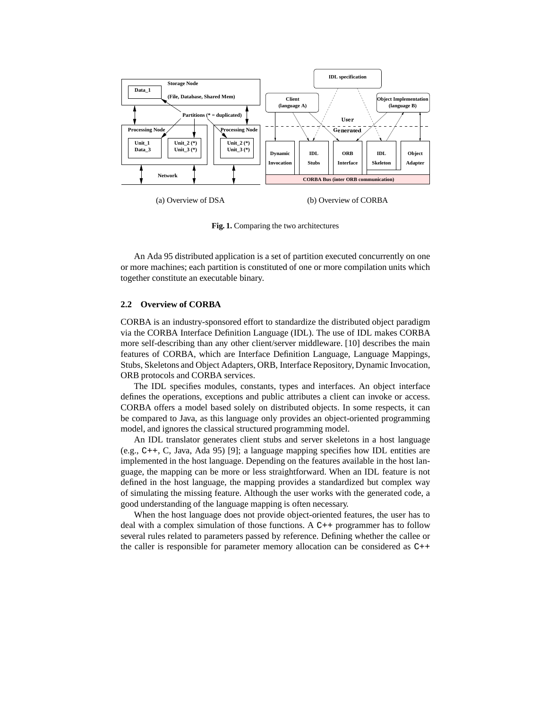

**Fig. 1.** Comparing the two architectures

An Ada 95 distributed application is a set of partition executed concurrently on one or more machines; each partition is constituted of one or more compilation units which together constitute an executable binary.

### **2.2 Overview of CORBA**

CORBA is an industry-sponsored effort to standardize the distributed object paradigm via the CORBA Interface Definition Language (IDL). The use of IDL makes CORBA more self-describing than any other client/server middleware. [10] describes the main features of CORBA, which are Interface Definition Language, Language Mappings, Stubs, Skeletons and Object Adapters, ORB, Interface Repository, Dynamic Invocation, ORB protocols and CORBA services.

The IDL specifies modules, constants, types and interfaces. An object interface defines the operations, exceptions and public attributes a client can invoke or access. CORBA offers a model based solely on distributed objects. In some respects, it can be compared to Java, as this language only provides an object-oriented programming model, and ignores the classical structured programming model.

An IDL translator generates client stubs and server skeletons in a host language (e.g., C++, C, Java, Ada 95) [9]; a language mapping specifies how IDL entities are implemented in the host language. Depending on the features available in the host language, the mapping can be more or less straightforward. When an IDL feature is not defined in the host language, the mapping provides a standardized but complex way of simulating the missing feature. Although the user works with the generated code, a good understanding of the language mapping is often necessary.

When the host language does not provide object-oriented features, the user has to deal with a complex simulation of those functions. A C++ programmer has to follow several rules related to parameters passed by reference. Defining whether the callee or the caller is responsible for parameter memory allocation can be considered as C++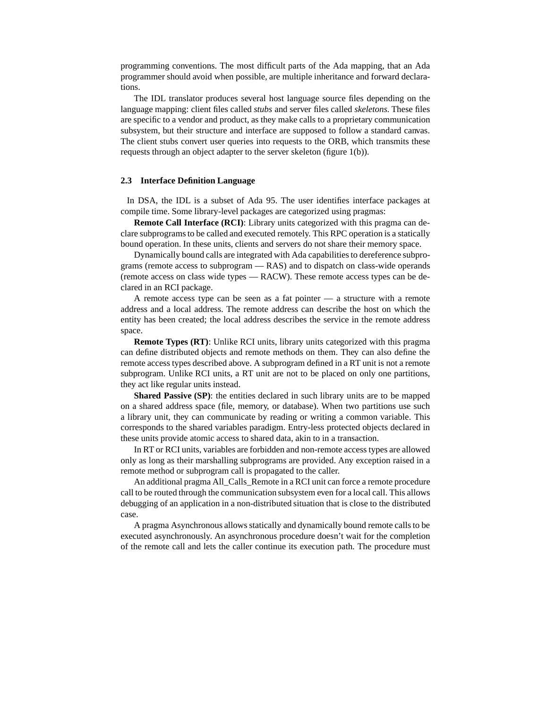programming conventions. The most difficult parts of the Ada mapping, that an Ada programmer should avoid when possible, are multiple inheritance and forward declarations.

The IDL translator produces several host language source files depending on the language mapping: client files called *stubs* and server files called *skeletons*. These files are specific to a vendor and product, as they make calls to a proprietary communication subsystem, but their structure and interface are supposed to follow a standard canvas. The client stubs convert user queries into requests to the ORB, which transmits these requests through an object adapter to the server skeleton (figure 1(b)).

### **2.3 Interface Definition Language**

In DSA, the IDL is a subset of Ada 95. The user identifies interface packages at compile time. Some library-level packages are categorized using pragmas:

**Remote Call Interface (RCI)**: Library units categorized with this pragma can declare subprogramsto be called and executed remotely. This RPC operation is a statically bound operation. In these units, clients and servers do not share their memory space.

Dynamically bound calls are integrated with Ada capabilitiesto dereference subprograms (remote access to subprogram — RAS) and to dispatch on class-wide operands (remote access on class wide types — RACW). These remote access types can be declared in an RCI package.

A remote access type can be seen as a fat pointer — a structure with a remote address and a local address. The remote address can describe the host on which the entity has been created; the local address describes the service in the remote address space.

**Remote Types (RT)**: Unlike RCI units, library units categorized with this pragma can define distributed objects and remote methods on them. They can also define the remote access types described above. A subprogram defined in a RT unit is not a remote subprogram. Unlike RCI units, a RT unit are not to be placed on only one partitions, they act like regular units instead.

**Shared Passive (SP)**: the entities declared in such library units are to be mapped on a shared address space (file, memory, or database). When two partitions use such a library unit, they can communicate by reading or writing a common variable. This corresponds to the shared variables paradigm. Entry-less protected objects declared in these units provide atomic access to shared data, akin to in a transaction.

In RT or RCI units, variables are forbidden and non-remote access types are allowed only as long as their marshalling subprograms are provided. Any exception raised in a remote method or subprogram call is propagated to the caller.

An additional pragma All\_Calls\_Remote in a RCI unit can force a remote procedure call to be routed through the communication subsystem even for a local call. This allows debugging of an application in a non-distributed situation that is close to the distributed case.

A pragma Asynchronous allows statically and dynamically bound remote calls to be executed asynchronously. An asynchronous procedure doesn't wait for the completion of the remote call and lets the caller continue its execution path. The procedure must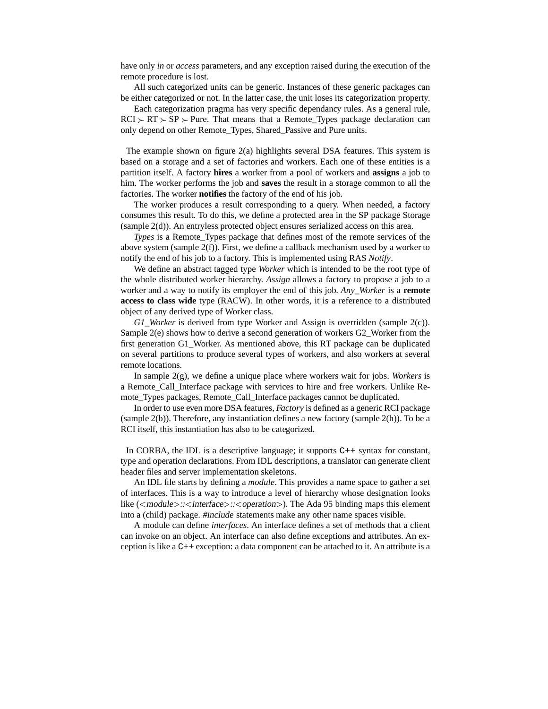have only *in* or *access* parameters, and any exception raised during the execution of the remote procedure is lost.

All such categorized units can be generic. Instances of these generic packages can be either categorized or not. In the latter case, the unit loses its categorization property.

Each categorization pragma has very specific dependancy rules. As a general rule,  $RCI > RT > SP > Pure$ . That means that a Remote Types package declaration can only depend on other Remote\_Types, Shared\_Passive and Pure units.

The example shown on figure 2(a) highlights several DSA features. This system is based on a storage and a set of factories and workers. Each one of these entities is a partition itself. A factory **hires** a worker from a pool of workers and **assigns** a job to him. The worker performs the job and **saves** the result in a storage common to all the factories. The worker **notifies** the factory of the end of his job.

The worker produces a result corresponding to a query. When needed, a factory consumes this result. To do this, we define a protected area in the SP package Storage (sample 2(d)). An entryless protected object ensures serialized access on this area.

*Types* is a Remote\_Types package that defines most of the remote services of the above system (sample 2(f)). First, we define a callback mechanism used by a worker to notify the end of his job to a factory. This is implemented using RAS *Notify*.

We define an abstract tagged type *Worker* which is intended to be the root type of the whole distributed worker hierarchy. *Assign* allows a factory to propose a job to a worker and a way to notify its employer the end of this job. *Any\_Worker* is a **remote access to class wide** type (RACW). In other words, it is a reference to a distributed object of any derived type of Worker class.

*G1\_Worker* is derived from type Worker and Assign is overridden (sample 2(c)). Sample 2(e) shows how to derive a second generation of workers G2\_Worker from the first generation G1\_Worker. As mentioned above, this RT package can be duplicated on several partitions to produce several types of workers, and also workers at several remote locations.

In sample 2(g), we define a unique place where workers wait for jobs. *Workers* is a Remote Call Interface package with services to hire and free workers. Unlike Remote\_Types packages, Remote\_Call\_Interface packages cannot be duplicated.

In order to use even more DSA features, *Factory* is defined as a generic RCI package (sample 2(b)). Therefore, any instantiation defines a new factory (sample 2(h)). To be a RCI itself, this instantiation has also to be categorized.

In CORBA, the IDL is a descriptive language; it supports  $C++$  syntax for constant, type and operation declarations.From IDL descriptions, a translator can generate client header files and server implementation skeletons.

An IDL file starts by defining a *module*. This provides a name space to gather a set of interfaces. This is a way to introduce a level of hierarchy whose designation looks like ( $\leq$  module $\geq$ :: $\leq$  interface $\geq$ :: $\leq$  operation $\geq$ ). The Ada 95 binding maps this element into a (child) package. #include statements make any other name spaces visible.

A module can define *interfaces*. An interface defines a set of methods that a client can invoke on an object. An interface can also define exceptions and attributes. An exception is like a C++ exception: a data component can be attached to it. An attribute is a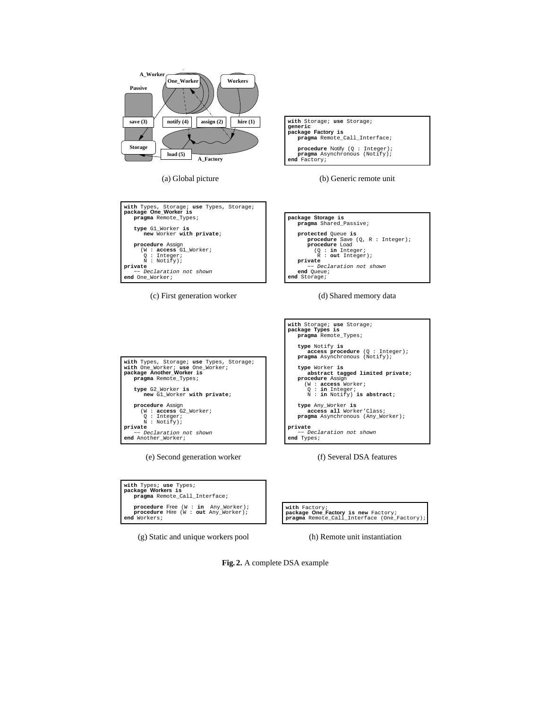

(a) Global picture

| with Types, Storage; use Types, Storage;<br>package One Worker is<br>pragma Remote Types; |
|-------------------------------------------------------------------------------------------|
| type G1 Worker is<br>new Worker with private;                                             |
| procedure Assign                                                                          |
| (W : access G1 Worker;                                                                    |
| $0:$ Integer;                                                                             |
| $N : Notify$ ;                                                                            |
| private                                                                                   |
| -- Declaration not shown                                                                  |
| end One Worker;                                                                           |

(c) First generation worker







(d) Shared memory data

| with Types, Storage; use Types, Storage;<br>with One Worker; use One Worker;<br>package Another Worker is<br>pragma Remote Types; |
|-----------------------------------------------------------------------------------------------------------------------------------|
| type G2 Worker is<br>new Gl Worker with private;                                                                                  |
| procedure Assign                                                                                                                  |
| (W: access G2 Worker;                                                                                                             |
| $0:$ Integer;                                                                                                                     |
| $N: Notify$ ;                                                                                                                     |
| private                                                                                                                           |
| -- Declaration not shown                                                                                                          |
| end Another Worker;                                                                                                               |

(e) Second generation worker

| with Types; use Types;<br>package Workers is<br>pragma Remote Call Interface; |  |                                                                               |
|-------------------------------------------------------------------------------|--|-------------------------------------------------------------------------------|
| end Workers;                                                                  |  | procedure Free $(W : in$ Any Worker);<br>procedure Hire (W : out Any Worker); |

(g) Static and unique workers pool

**with** Storage; **use** Storage; **package Types is pragma** Remote\_Types; **type** Notify **is access procedure** (Q : Integer); **pragma** Asynchronous (Notify); **type** Worker **is abstract tagged limited private**; **procedure** Assign (W : **access** Worker; Q : **in** Integer; N : **in** Notify) **is abstract**; **type** Any\_Worker **is access all** Worker'Class; **pragma** Asynchronous (Any\_Worker); **private** −− Declaration not shown **end** Types;

(f) Several DSA features

**with** Factory; **package One\_Factory is new** Factory; **pragma** Remote\_Call\_Interface (One\_Factory);

(h) Remote unit instantiation

**Fig. 2.** A complete DSA example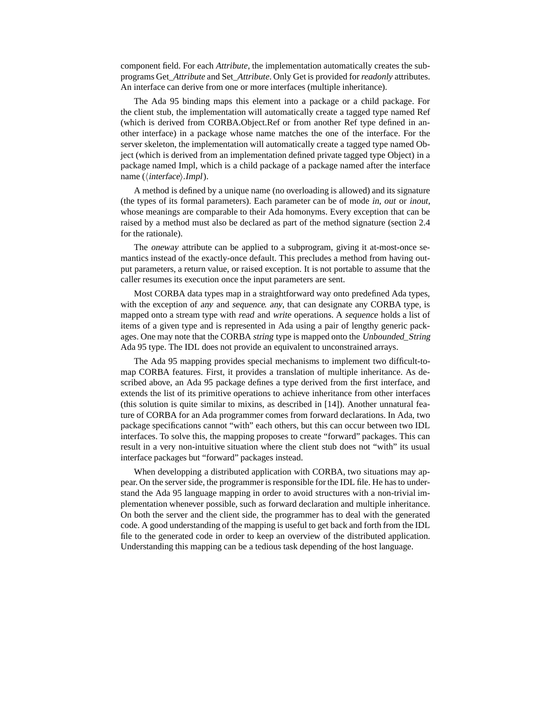component field. For each *Attribute*, the implementation automatically creates the subprograms Get\_*Attribute* and Set\_*Attribute*. Only Getis provided for *readonly* attributes. An interface can derive from one or more interfaces (multiple inheritance).

The Ada 95 binding maps this element into a package or a child package. For the client stub, the implementation will automatically create a tagged type named Ref (which is derived from CORBA.Object.Ref or from another Ref type defined in another interface) in a package whose name matches the one of the interface. For the server skeleton, the implementation will automatically create a tagged type named Object (which is derived from an implementation defined private tagged type Object) in a package named Impl, which is a child package of a package named after the interface name ( $\langle$  interface $\rangle$ .Impl).

A method is defined by a unique name (no overloading is allowed) and its signature (the types of its formal parameters). Each parameter can be of mode in, out or inout, whose meanings are comparable to their Ada homonyms. Every exception that can be raised by a method must also be declared as part of the method signature (section 2.4 for the rationale).

The oneway attribute can be applied to a subprogram, giving it at-most-once semantics instead of the exactly-once default. This precludes a method from having output parameters, a return value, or raised exception. It is not portable to assume that the caller resumes its execution once the input parameters are sent.

Most CORBA data types map in a straightforward way onto predefined Ada types, with the exception of any and sequence. any, that can designate any CORBA type, is mapped onto a stream type with read and write operations. A sequence holds a list of items of a given type and is represented in Ada using a pair of lengthy generic packages. One may note that the CORBA string type is mapped onto the Unbounded\_String Ada 95 type. The IDL does not provide an equivalent to unconstrained arrays.

The Ada 95 mapping provides special mechanisms to implement two difficult-tomap CORBA features. First, it provides a translation of multiple inheritance. As described above, an Ada 95 package defines a type derived from the first interface, and extends the list of its primitive operations to achieve inheritance from other interfaces (this solution is quite similar to mixins, as described in [14]). Another unnatural feature of CORBA for an Ada programmer comes from forward declarations. In Ada, two package specifications cannot "with" each others, but this can occur between two IDL interfaces. To solve this, the mapping proposes to create "forward" packages. This can result in a very non-intuitive situation where the client stub does not "with" its usual interface packages but "forward" packages instead.

When developping a distributed application with CORBA, two situations may appear. On the server side, the programmer is responsible for the IDL file. He has to understand the Ada 95 language mapping in order to avoid structures with a non-trivial implementation whenever possible, such as forward declaration and multiple inheritance. On both the server and the client side, the programmer has to deal with the generated code. A good understanding of the mapping is useful to get back and forth from the IDL file to the generated code in order to keep an overview of the distributed application. Understanding this mapping can be a tedious task depending of the host language.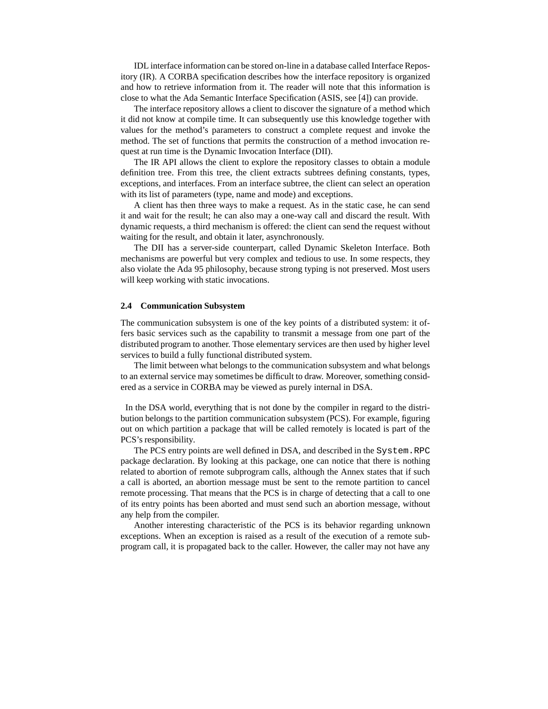IDL interface information can be stored on-line in a database called Interface Repository (IR). A CORBA specification describes how the interface repository is organized and how to retrieve information from it. The reader will note that this information is close to what the Ada Semantic Interface Specification (ASIS, see [4]) can provide.

The interface repository allows a client to discover the signature of a method which it did not know at compile time. It can subsequently use this knowledge together with values for the method's parameters to construct a complete request and invoke the method. The set of functions that permits the construction of a method invocation request at run time is the Dynamic Invocation Interface (DII).

The IR API allows the client to explore the repository classes to obtain a module definition tree. From this tree, the client extracts subtrees defining constants, types, exceptions, and interfaces. From an interface subtree, the client can select an operation with its list of parameters (type, name and mode) and exceptions.

A client has then three ways to make a request. As in the static case, he can send it and wait for the result; he can also may a one-way call and discard the result. With dynamic requests, a third mechanism is offered: the client can send the request without waiting for the result, and obtain it later, asynchronously.

The DII has a server-side counterpart, called Dynamic Skeleton Interface. Both mechanisms are powerful but very complex and tedious to use. In some respects, they also violate the Ada 95 philosophy, because strong typing is not preserved. Most users will keep working with static invocations.

#### **2.4 Communication Subsystem**

The communication subsystem is one of the key points of a distributed system: it offers basic services such as the capability to transmit a message from one part of the distributed program to another. Those elementary services are then used by higher level services to build a fully functional distributed system.

The limit between what belongs to the communication subsystem and what belongs to an external service may sometimes be difficult to draw. Moreover, something considered as a service in CORBA may be viewed as purely internal in DSA.

In the DSA world, everything that is not done by the compiler in regard to the distribution belongs to the partition communication subsystem (PCS). For example, figuring out on which partition a package that will be called remotely is located is part of the PCS's responsibility.

The PCS entry points are well defined in DSA, and described in the System.RPC package declaration. By looking at this package, one can notice that there is nothing related to abortion of remote subprogram calls, although the Annex states that if such a call is aborted, an abortion message must be sent to the remote partition to cancel remote processing. That means that the PCS is in charge of detecting that a call to one of its entry points has been aborted and must send such an abortion message, without any help from the compiler.

Another interesting characteristic of the PCS is its behavior regarding unknown exceptions. When an exception is raised as a result of the execution of a remote subprogram call, it is propagated back to the caller. However, the caller may not have any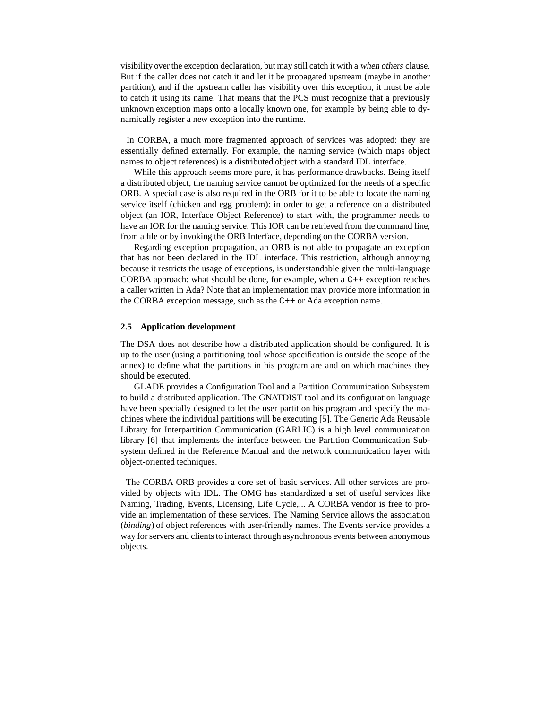visibility over the exception declaration, but may still catch it with a when others clause. But if the caller does not catch it and let it be propagated upstream (maybe in another partition), and if the upstream caller has visibility over this exception, it must be able to catch it using its name. That means that the PCS must recognize that a previously unknown exception maps onto a locally known one, for example by being able to dynamically register a new exception into the runtime.

In CORBA, a much more fragmented approach of services was adopted: they are essentially defined externally. For example, the naming service (which maps object names to object references) is a distributed object with a standard IDL interface.

While this approach seems more pure, it has performance drawbacks. Being itself a distributed object, the naming service cannot be optimized for the needs of a specific ORB. A special case is also required in the ORB for it to be able to locate the naming service itself (chicken and egg problem): in order to get a reference on a distributed object (an IOR, Interface Object Reference) to start with, the programmer needs to have an IOR for the naming service. This IOR can be retrieved from the command line, from a file or by invoking the ORB Interface, depending on the CORBA version.

Regarding exception propagation, an ORB is not able to propagate an exception that has not been declared in the IDL interface. This restriction, although annoying because it restricts the usage of exceptions, is understandable given the multi-language CORBA approach: what should be done, for example, when a C++ exception reaches a caller written in Ada? Note that an implementation may provide more information in the CORBA exception message, such as the C++ or Ada exception name.

### **2.5 Application development**

The DSA does not describe how a distributed application should be configured. It is up to the user (using a partitioning tool whose specification is outside the scope of the annex) to define what the partitions in his program are and on which machines they should be executed.

GLADE provides a Configuration Tool and a Partition Communication Subsystem to build a distributed application. The GNATDIST tool and its configuration language have been specially designed to let the user partition his program and specify the machines where the individual partitions will be executing [5]. The Generic Ada Reusable Library for Interpartition Communication (GARLIC) is a high level communication library [6] that implements the interface between the Partition Communication Subsystem defined in the Reference Manual and the network communication layer with object-oriented techniques.

The CORBA ORB provides a core set of basic services. All other services are provided by objects with IDL. The OMG has standardized a set of useful services like Naming, Trading, Events, Licensing, Life Cycle,... A CORBA vendor is free to provide an implementation of these services. The Naming Service allows the association (*binding*) of object references with user-friendly names. The Events service provides a way for servers and clients to interact through asynchronous events between anonymous objects.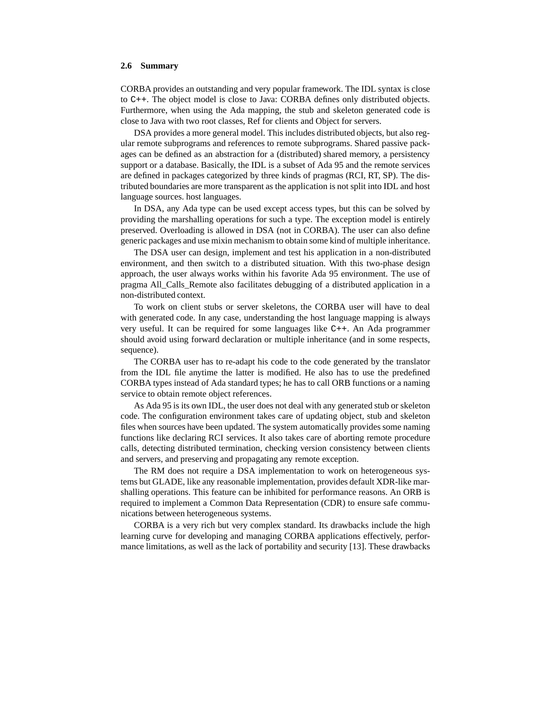#### **2.6 Summary**

CORBA provides an outstanding and very popular framework. The IDL syntax is close to C++. The object model is close to Java: CORBA defines only distributed objects. Furthermore, when using the Ada mapping, the stub and skeleton generated code is close to Java with two root classes, Ref for clients and Object for servers.

DSA provides a more general model. This includes distributed objects, but also regular remote subprograms and references to remote subprograms. Shared passive packages can be defined as an abstraction for a (distributed) shared memory, a persistency support or a database. Basically, the IDL is a subset of Ada 95 and the remote services are defined in packages categorized by three kinds of pragmas (RCI, RT, SP). The distributed boundaries are more transparent as the application is not split into IDL and host language sources. host languages.

In DSA, any Ada type can be used except access types, but this can be solved by providing the marshalling operations for such a type. The exception model is entirely preserved. Overloading is allowed in DSA (not in CORBA). The user can also define generic packages and use mixin mechanism to obtain some kind of multiple inheritance.

The DSA user can design, implement and test his application in a non-distributed environment, and then switch to a distributed situation. With this two-phase design approach, the user always works within his favorite Ada 95 environment. The use of pragma All\_Calls\_Remote also facilitates debugging of a distributed application in a non-distributed context.

To work on client stubs or server skeletons, the CORBA user will have to deal with generated code. In any case, understanding the host language mapping is always very useful. It can be required for some languages like C++. An Ada programmer should avoid using forward declaration or multiple inheritance (and in some respects, sequence).

The CORBA user has to re-adapt his code to the code generated by the translator from the IDL file anytime the latter is modified. He also has to use the predefined CORBA types instead of Ada standard types; he has to call ORB functions or a naming service to obtain remote object references.

As Ada 95 is its own IDL, the user does not deal with any generated stub or skeleton code. The configuration environment takes care of updating object, stub and skeleton files when sources have been updated. The system automatically provides some naming functions like declaring RCI services. It also takes care of aborting remote procedure calls, detecting distributed termination, checking version consistency between clients and servers, and preserving and propagating any remote exception.

The RM does not require a DSA implementation to work on heterogeneous systems but GLADE, like any reasonable implementation, provides default XDR-like marshalling operations. This feature can be inhibited for performance reasons. An ORB is required to implement a Common Data Representation (CDR) to ensure safe communications between heterogeneous systems.

CORBA is a very rich but very complex standard. Its drawbacks include the high learning curve for developing and managing CORBA applications effectively, performance limitations, as well as the lack of portability and security [13]. These drawbacks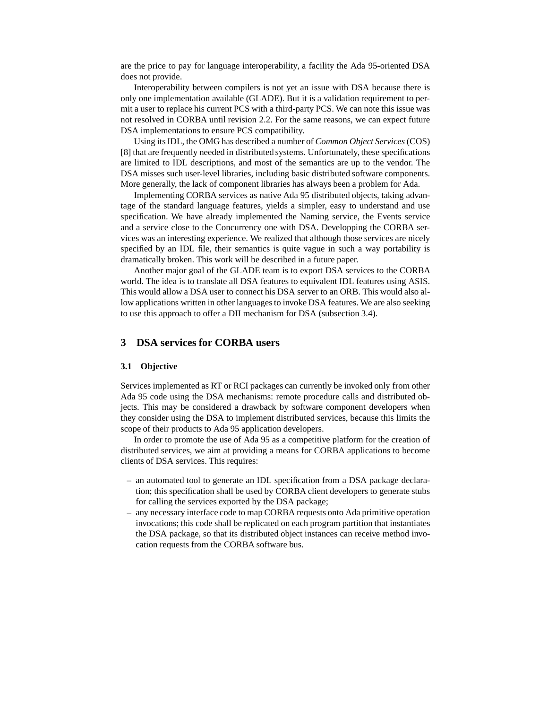are the price to pay for language interoperability, a facility the Ada 95-oriented DSA does not provide.

Interoperability between compilers is not yet an issue with DSA because there is only one implementation available (GLADE). But it is a validation requirement to permit a user to replace his current PCS with a third-party PCS. We can note this issue was not resolved in CORBA until revision 2.2. For the same reasons, we can expect future DSA implementations to ensure PCS compatibility.

Using its IDL, the OMG has described a number of *Common Object Services* (COS) [8] that are frequently needed in distributed systems. Unfortunately, these specifications are limited to IDL descriptions, and most of the semantics are up to the vendor. The DSA misses such user-level libraries, including basic distributed software components. More generally, the lack of component libraries has always been a problem for Ada.

Implementing CORBA services as native Ada 95 distributed objects, taking advantage of the standard language features, yields a simpler, easy to understand and use specification. We have already implemented the Naming service, the Events service and a service close to the Concurrency one with DSA. Developping the CORBA services was an interesting experience. We realized that although those services are nicely specified by an IDL file, their semantics is quite vague in such a way portability is dramatically broken. This work will be described in a future paper.

Another major goal of the GLADE team is to export DSA services to the CORBA world. The idea is to translate all DSA features to equivalent IDL features using ASIS. This would allow a DSA user to connect his DSA server to an ORB. This would also allow applications written in other languagesto invoke DSA features. We are also seeking to use this approach to offer a DII mechanism for DSA (subsection 3.4).

## **3 DSA services for CORBA users**

#### **3.1 Objective**

Services implemented as RT or RCI packages can currently be invoked only from other Ada 95 code using the DSA mechanisms: remote procedure calls and distributed objects. This may be considered a drawback by software component developers when they consider using the DSA to implement distributed services, because this limits the scope of their products to Ada 95 application developers.

In order to promote the use of Ada 95 as a competitive platform for the creation of distributed services, we aim at providing a means for CORBA applications to become clients of DSA services. This requires:

- **–** an automated tool to generate an IDL specification from a DSA package declaration; this specification shall be used by CORBA client developers to generate stubs for calling the services exported by the DSA package;
- **–** any necessary interface code to map CORBA requests onto Ada primitive operation invocations;this code shall be replicated on each program partition that instantiates the DSA package, so that its distributed object instances can receive method invocation requests from the CORBA software bus.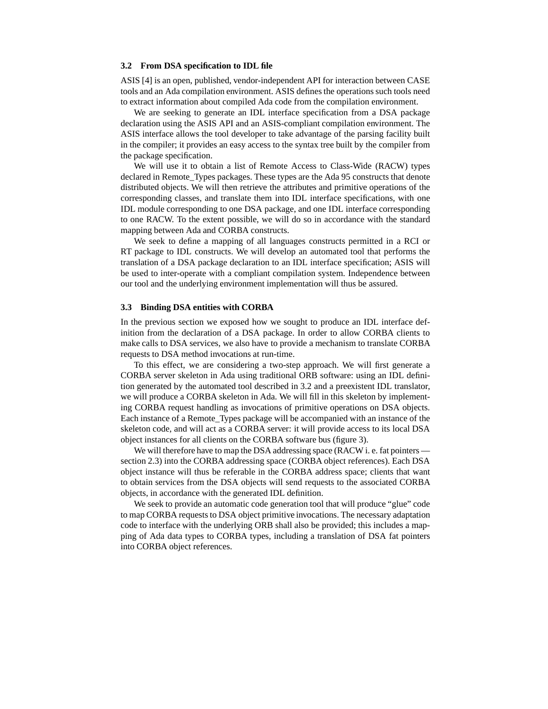### **3.2 From DSA specification to IDL file**

ASIS [4] is an open, published, vendor-independent API for interaction between CASE tools and an Ada compilation environment. ASIS definesthe operations such tools need to extract information about compiled Ada code from the compilation environment.

We are seeking to generate an IDL interface specification from a DSA package declaration using the ASIS API and an ASIS-compliant compilation environment. The ASIS interface allows the tool developer to take advantage of the parsing facility built in the compiler; it provides an easy access to the syntax tree built by the compiler from the package specification.

We will use it to obtain a list of Remote Access to Class-Wide (RACW) types declared in Remote\_Types packages. These types are the Ada 95 constructs that denote distributed objects. We will then retrieve the attributes and primitive operations of the corresponding classes, and translate them into IDL interface specifications, with one IDL module corresponding to one DSA package, and one IDL interface corresponding to one RACW. To the extent possible, we will do so in accordance with the standard mapping between Ada and CORBA constructs.

We seek to define a mapping of all languages constructs permitted in a RCI or RT package to IDL constructs. We will develop an automated tool that performs the translation of a DSA package declaration to an IDL interface specification; ASIS will be used to inter-operate with a compliant compilation system. Independence between our tool and the underlying environment implementation will thus be assured.

#### **3.3 Binding DSA entities with CORBA**

In the previous section we exposed how we sought to produce an IDL interface definition from the declaration of a DSA package. In order to allow CORBA clients to make calls to DSA services, we also have to provide a mechanism to translate CORBA requests to DSA method invocations at run-time.

To this effect, we are considering a two-step approach. We will first generate a CORBA server skeleton in Ada using traditional ORB software: using an IDL definition generated by the automated tool described in 3.2 and a preexistent IDL translator, we will produce a CORBA skeleton in Ada. We will fill in this skeleton by implementing CORBA request handling as invocations of primitive operations on DSA objects. Each instance of a Remote\_Types package will be accompanied with an instance of the skeleton code, and will act as a CORBA server: it will provide access to its local DSA object instances for all clients on the CORBA software bus (figure 3).

We will therefore have to map the DSA addressing space (RACW i. e. fat pointers section 2.3) into the CORBA addressing space (CORBA object references). Each DSA object instance will thus be referable in the CORBA address space; clients that want to obtain services from the DSA objects will send requests to the associated CORBA objects, in accordance with the generated IDL definition.

We seek to provide an automatic code generation tool that will produce "glue" code to map CORBA requests to DSA object primitive invocations. The necessary adaptation code to interface with the underlying ORB shall also be provided; this includes a mapping of Ada data types to CORBA types, including a translation of DSA fat pointers into CORBA object references.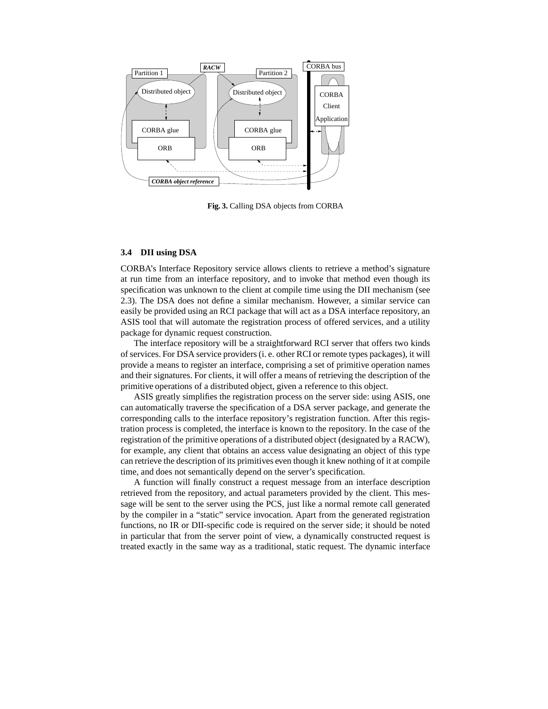

**Fig. 3.** Calling DSA objects from CORBA

### **3.4 DII using DSA**

CORBA's Interface Repository service allows clients to retrieve a method's signature at run time from an interface repository, and to invoke that method even though its specification was unknown to the client at compile time using the DII mechanism (see 2.3). The DSA does not define a similar mechanism. However, a similar service can easily be provided using an RCI package that will act as a DSA interface repository, an ASIS tool that will automate the registration process of offered services, and a utility package for dynamic request construction.

The interface repository will be a straightforward RCI server that offers two kinds of services. For DSA service providers (i. e. other RCI or remote types packages), it will provide a means to register an interface, comprising a set of primitive operation names and their signatures.For clients, it will offer a means of retrieving the description of the primitive operations of a distributed object, given a reference to this object.

ASIS greatly simplifies the registration process on the server side: using ASIS, one can automatically traverse the specification of a DSA server package, and generate the corresponding calls to the interface repository's registration function. After this registration process is completed, the interface is known to the repository. In the case of the registration of the primitive operations of a distributed object (designated by a RACW), for example, any client that obtains an access value designating an object of this type can retrieve the description of its primitives even though it knew nothing of it at compile time, and does not semantically depend on the server's specification.

A function will finally construct a request message from an interface description retrieved from the repository, and actual parameters provided by the client. This message will be sent to the server using the PCS, just like a normal remote call generated by the compiler in a "static" service invocation. Apart from the generated registration functions, no IR or DII-specific code is required on the server side; it should be noted in particular that from the server point of view, a dynamically constructed request is treated exactly in the same way as a traditional, static request. The dynamic interface